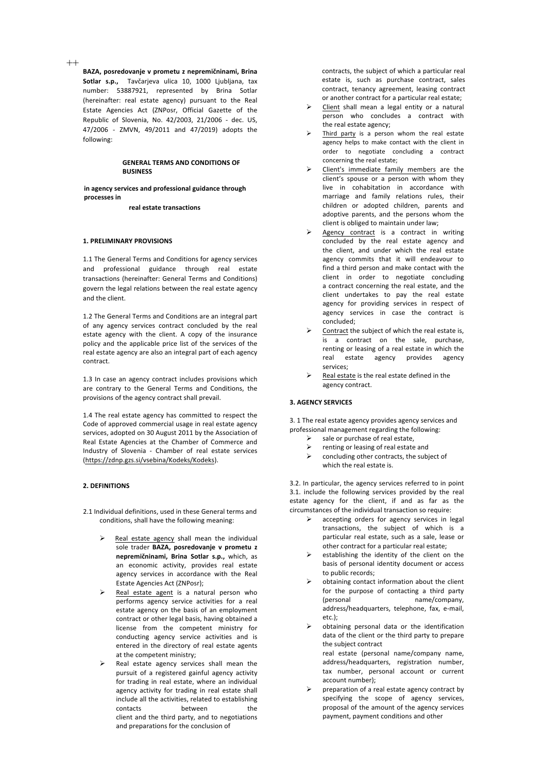++

BAZA, posredovanje v prometu z nepremičninami, Brina Sotlar s.p., Tavčarjeva ulica 10, 1000 Ljubljana, tax number: 53887921, represented by Brina Sotlar (hereinafter: real estate agency) pursuant to the Real Estate Agencies Act (ZNPosr, Official Gazette of the Republic of Slovenia, No. 42/2003, 21/2006 - dec. US, 47/2006 - ZMVN, 49/2011 and 47/2019) adopts the following:

# **GENERAL TERMS AND CONDITIONS OF BUSINESS**

in agency services and professional guidance through **processes** in

**real estate transactions**

### **1. PRELIMINARY PROVISIONS**

1.1 The General Terms and Conditions for agency services and professional guidance through real estate transactions (hereinafter: General Terms and Conditions) govern the legal relations between the real estate agency and the client.

1.2 The General Terms and Conditions are an integral part of any agency services contract concluded by the real estate agency with the client. A copy of the insurance policy and the applicable price list of the services of the real estate agency are also an integral part of each agency contract.

1.3 In case an agency contract includes provisions which are contrary to the General Terms and Conditions, the provisions of the agency contract shall prevail.

1.4 The real estate agency has committed to respect the Code of approved commercial usage in real estate agency services, adopted on 30 August 2011 by the Association of Real Estate Agencies at the Chamber of Commerce and Industry of Slovenia - Chamber of real estate services (https://zdnp.gzs.si/vsebina/Kodeks/Kodeks).

# **2. DEFINITIONS**

2.1 Individual definitions, used in these General terms and conditions, shall have the following meaning:

- Real estate agency shall mean the individual sole trader **BAZA, posredovanje v prometu z** nepremičninami, Brina Sotlar s.p., which, as an economic activity, provides real estate agency services in accordance with the Real Estate Agencies Act (ZNPosr):
- Real estate agent is a natural person who performs agency service activities for a real estate agency on the basis of an employment contract or other legal basis, having obtained a license from the competent ministry for conducting agency service activities and is entered in the directory of real estate agents at the competent ministry;
- Real estate agency services shall mean the pursuit of a registered gainful agency activity for trading in real estate, where an individual agency activity for trading in real estate shall include all the activities, related to establishing contacts between the client and the third party, and to negotiations and preparations for the conclusion of

contracts, the subject of which a particular real estate is, such as purchase contract, sales contract, tenancy agreement, leasing contract or another contract for a particular real estate;

- Client shall mean a legal entity or a natural person who concludes a contract with the real estate agency;
- Third party is a person whom the real estate agency helps to make contact with the client in order to negotiate concluding a contract concerning the real estate:
- Client's immediate family members are the client's spouse or a person with whom they live in cohabitation in accordance with marriage and family relations rules, their children or adopted children, parents and adoptive parents, and the persons whom the client is obliged to maintain under law;
- Agency contract is a contract in writing concluded by the real estate agency and the client, and under which the real estate agency commits that it will endeavour to find a third person and make contact with the client in order to negotiate concluding a contract concerning the real estate, and the client undertakes to pay the real estate agency for providing services in respect of agency services in case the contract is concluded;
- Contract the subject of which the real estate is, is a contract on the sale, purchase, renting or leasing of a real estate in which the real estate agency provides agency services;
- Real estate is the real estate defined in the agency contract.

#### **3. AGENCY SERVICES**

3. 1 The real estate agency provides agency services and professional management regarding the following:

- sale or purchase of real estate.
- $\triangleright$  renting or leasing of real estate and
- $\triangleright$  concluding other contracts, the subject of which the real estate is.

3.2. In particular, the agency services referred to in point 3.1. include the following services provided by the real estate agency for the client, if and as far as the circumstances of the individual transaction so require:

- $\triangleright$  accepting orders for agency services in legal transactions, the subject of which is a particular real estate, such as a sale, lease or other contract for a particular real estate;
- establishing the identity of the client on the basis of personal identity document or access to public records;
- obtaining contact information about the client for the purpose of contacting a third party (personal name/company, address/headquarters, telephone, fax, e-mail, etc.);
- obtaining personal data or the identification data of the client or the third party to prepare the subject contract real estate (personal name/company name, address/headquarters, registration number,
	- tax number, personal account or current account number);
- preparation of a real estate agency contract by specifying the scope of agency services, proposal of the amount of the agency services payment, payment conditions and other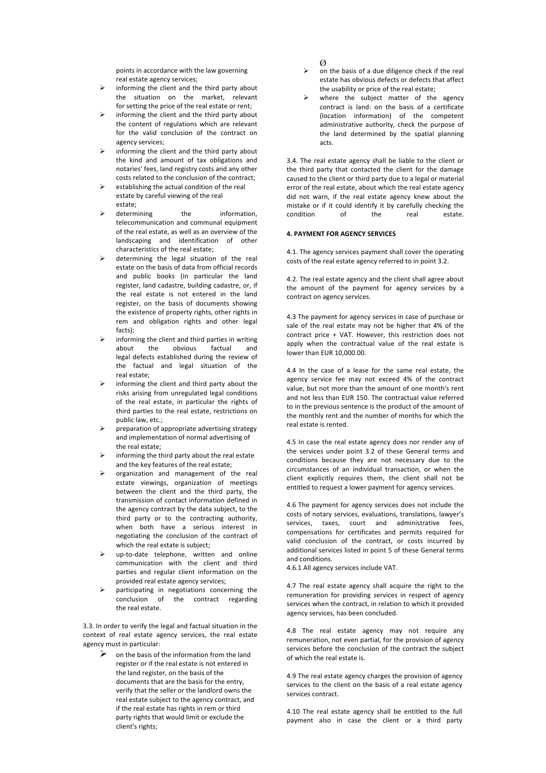points in accordance with the law governing real estate agency services;

- informing the client and the third party about the situation on the market, relevant for setting the price of the real estate or rent;
- informing the client and the third party about the content of regulations which are relevant for the valid conclusion of the contract on agency services;
- informing the client and the third party about the kind and amount of tax obligations and notaries' fees, land registry costs and any other costs related to the conclusion of the contract;
- establishing the actual condition of the real estate by careful viewing of the real estate;
- determining the information, telecommunication and communal equipment of the real estate, as well as an overview of the landscaping and identification of other characteristics of the real estate;
- determining the legal situation of the real estate on the basis of data from official records and public books (in particular the land register, land cadastre, building cadastre, or, if the real estate is not entered in the land register, on the basis of documents showing the existence of property rights, other rights in rem and obligation rights and other legal facts);
- informing the client and third parties in writing about the obvious factual and legal defects established during the review of the factual and legal situation of the real estate;
- informing the client and third party about the risks arising from unregulated legal conditions of the real estate, in particular the rights of third parties to the real estate, restrictions on public law, etc.;
- oreparation of appropriate advertising strategy and implementation of normal advertising of the real estate:
- informing the third party about the real estate and the key features of the real estate:
- organization and management of the real estate viewings, organization of meetings between the client and the third party, the transmission of contact information defined in the agency contract by the data subject, to the third party or to the contracting authority, when both have a serious interest in negotiating the conclusion of the contract of which the real estate is subject;
- up-to-date telephone, written and online communication with the client and third parties and regular client information on the provided real estate agency services;
- participating in negotiations concerning the conclusion of the contract regarding the real estate.

3.3. In order to verify the legal and factual situation in the context of real estate agency services, the real estate agency must in particular:

on the basis of the information from the land register or if the real estate is not entered in the land register, on the basis of the documents that are the basis for the entry, verify that the seller or the landlord owns the real estate subject to the agency contract, and if the real estate has rights in rem or third party rights that would limit or exclude the client's rights;

# $\alpha$

- on the basis of a due diligence check if the real estate has obvious defects or defects that affect the usability or price of the real estate;
- where the subject matter of the agency contract is land: on the basis of a certificate (location information) of the competent administrative authority, check the purpose of the land determined by the spatial planning acts.

3.4. The real estate agency shall be liable to the client or the third party that contacted the client for the damage caused to the client or third party due to a legal or material error of the real estate, about which the real estate agency did not warn, if the real estate agency knew about the mistake or if it could identify it by carefully checking the condition of the real estate.

### **4. PAYMENT FOR AGENCY SERVICES**

4.1. The agency services payment shall cover the operating costs of the real estate agency referred to in point 3.2.

4.2. The real estate agency and the client shall agree about the amount of the payment for agency services by a contract on agency services.

4.3 The payment for agency services in case of purchase or sale of the real estate may not be higher that 4% of the contract price + VAT. However, this restriction does not apply when the contractual value of the real estate is lower than EUR 10,000.00.

4.4 In the case of a lease for the same real estate, the agency service fee may not exceed 4% of the contract value, but not more than the amount of one month's rent and not less than EUR 150. The contractual value referred to in the previous sentence is the product of the amount of the monthly rent and the number of months for which the real estate is rented.

4.5 In case the real estate agency does nor render any of the services under point 3.2 of these General terms and conditions because they are not necessary due to the circumstances of an individual transaction, or when the client explicitly requires them, the client shall not be entitled to request a lower payment for agency services.

4.6 The payment for agency services does not include the costs of notary services, evaluations, translations, lawyer's services, taxes, court and administrative fees. compensations for certificates and permits required for valid conclusion of the contract, or costs incurred by additional services listed in point 5 of these General terms and conditions.

4.6.1 All agency services include VAT.

4.7 The real estate agency shall acquire the right to the remuneration for providing services in respect of agency services when the contract, in relation to which it provided agency services, has been concluded.

4.8 The real estate agency may not require any remuneration, not even partial, for the provision of agency services before the conclusion of the contract the subject of which the real estate is.

4.9 The real estate agency charges the provision of agency services to the client on the basis of a real estate agency services contract.

4.10 The real estate agency shall be entitled to the full payment also in case the client or a third party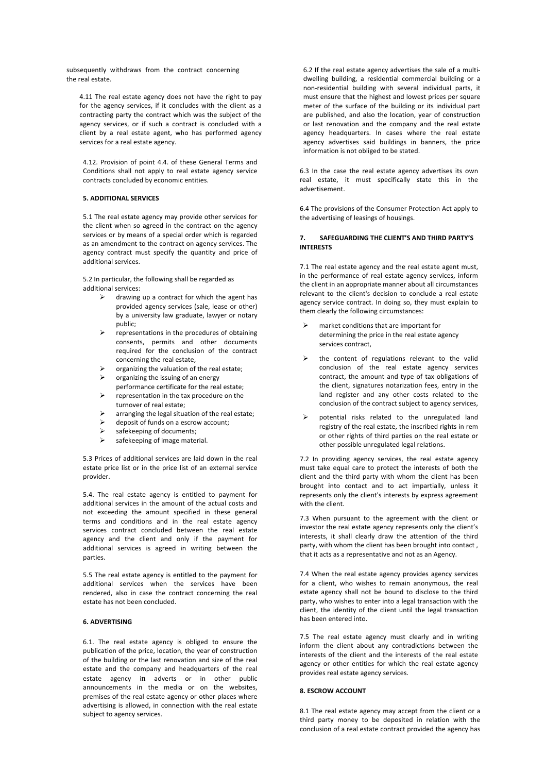subsequently withdraws from the contract concerning the real estate.

4.11 The real estate agency does not have the right to pay for the agency services, if it concludes with the client as a contracting party the contract which was the subject of the agency services, or if such a contract is concluded with a client by a real estate agent, who has performed agency services for a real estate agency.

4.12. Provision of point 4.4. of these General Terms and Conditions shall not apply to real estate agency service contracts concluded by economic entities.

#### **5. ADDITIONAL SERVICES**

5.1 The real estate agency may provide other services for the client when so agreed in the contract on the agency services or by means of a special order which is regarded as an amendment to the contract on agency services. The agency contract must specify the quantity and price of additional services.

5.2 In particular, the following shall be regarded as additional services:

- drawing up a contract for which the agent has provided agency services (sale, lease or other) by a university law graduate, lawyer or notary public;
- representations in the procedures of obtaining consents, permits and other documents required for the conclusion of the contract concerning the real estate,
- organizing the valuation of the real estate:
- organizing the issuing of an energy
- performance certificate for the real estate; representation in the tax procedure on the
- turnover of real estate;  $\triangleright$  arranging the legal situation of the real estate;
- $\triangleright$  deposit of funds on a escrow account;
- $\triangleright$  safekeeping of documents:
- $\triangleright$  safekeeping of image material.

5.3 Prices of additional services are laid down in the real estate price list or in the price list of an external service provider.

5.4. The real estate agency is entitled to payment for additional services in the amount of the actual costs and not exceeding the amount specified in these general terms and conditions and in the real estate agency services contract concluded between the real estate agency and the client and only if the payment for additional services is agreed in writing between the parties.

5.5 The real estate agency is entitled to the payment for additional services when the services have been rendered, also in case the contract concerning the real estate has not been concluded.

# **6. ADVERTISING**

6.1. The real estate agency is obliged to ensure the publication of the price, location, the year of construction of the building or the last renovation and size of the real estate and the company and headquarters of the real estate agency in adverts or in other public announcements in the media or on the websites, premises of the real estate agency or other places where advertising is allowed, in connection with the real estate subject to agency services.

6.2 If the real estate agency advertises the sale of a multidwelling building, a residential commercial building or a non-residential building with several individual parts, it must ensure that the highest and lowest prices per square meter of the surface of the building or its individual part are published, and also the location, year of construction or last renovation and the company and the real estate agency headquarters. In cases where the real estate agency advertises said buildings in banners, the price information is not obliged to be stated.

6.3 In the case the real estate agency advertises its own real estate, it must specifically state this in the advertisement.

6.4 The provisions of the Consumer Protection Act apply to the advertising of leasings of housings.

### **7.** SAFEGUARDING THE CLIENT'S AND THIRD PARTY'S **INTERESTS**

7.1 The real estate agency and the real estate agent must, in the performance of real estate agency services, inform the client in an appropriate manner about all circumstances relevant to the client's decision to conclude a real estate agency service contract. In doing so, they must explain to them clearly the following circumstances:

- market conditions that are important for determining the price in the real estate agency services contract.
- the content of regulations relevant to the valid conclusion of the real estate agency services contract, the amount and type of tax obligations of the client, signatures notarization fees, entry in the land register and any other costs related to the conclusion of the contract subject to agency services,
- potential risks related to the unregulated land registry of the real estate, the inscribed rights in rem or other rights of third parties on the real estate or other possible unregulated legal relations.

7.2 In providing agency services, the real estate agency must take equal care to protect the interests of both the client and the third party with whom the client has been brought into contact and to act impartially, unless it represents only the client's interests by express agreement with the client.

7.3 When pursuant to the agreement with the client or investor the real estate agency represents only the client's interests, it shall clearly draw the attention of the third party, with whom the client has been brought into contact. that it acts as a representative and not as an Agency.

7.4 When the real estate agency provides agency services for a client, who wishes to remain anonymous, the real estate agency shall not be bound to disclose to the third party, who wishes to enter into a legal transaction with the client, the identity of the client until the legal transaction has been entered into.

7.5 The real estate agency must clearly and in writing inform the client about any contradictions between the interests of the client and the interests of the real estate agency or other entities for which the real estate agency provides real estate agency services.

## **8. ESCROW ACCOUNT**

8.1 The real estate agency may accept from the client or a third party money to be deposited in relation with the conclusion of a real estate contract provided the agency has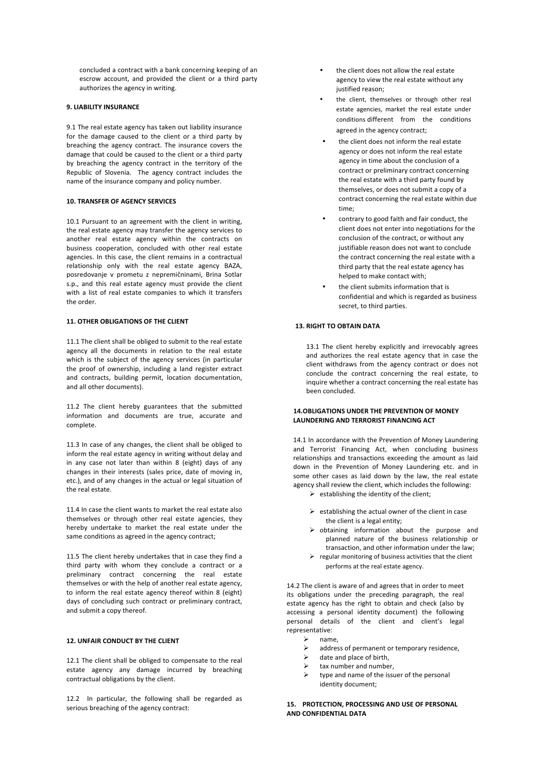concluded a contract with a bank concerning keeping of an escrow account, and provided the client or a third party authorizes the agency in writing.

# **9. LIABILITY INSURANCE**

9.1 The real estate agency has taken out liability insurance for the damage caused to the client or a third party by breaching the agency contract. The insurance covers the damage that could be caused to the client or a third party by breaching the agency contract in the territory of the Republic of Slovenia. The agency contract includes the name of the insurance company and policy number.

#### **10. TRANSFER OF AGENCY SERVICES**

10.1 Pursuant to an agreement with the client in writing, the real estate agency may transfer the agency services to another real estate agency within the contracts on business cooperation, concluded with other real estate agencies. In this case, the client remains in a contractual relationship only with the real estate agency BAZA, posredovanje v prometu z nepremičninami, Brina Sotlar s.p., and this real estate agency must provide the client with a list of real estate companies to which it transfers the order

### **11. OTHER OBLIGATIONS OF THE CLIENT**

11.1 The client shall be obliged to submit to the real estate agency all the documents in relation to the real estate which is the subject of the agency services (in particular the proof of ownership, including a land register extract and contracts, building permit, location documentation, and all other documents).

11.2 The client hereby guarantees that the submitted information and documents are true, accurate and complete.

11.3 In case of any changes, the client shall be obliged to inform the real estate agency in writing without delay and in any case not later than within 8 (eight) days of any changes in their interests (sales price, date of moving in, etc.), and of any changes in the actual or legal situation of the real estate.

11.4 In case the client wants to market the real estate also themselves or through other real estate agencies, they hereby undertake to market the real estate under the same conditions as agreed in the agency contract;

11.5 The client hereby undertakes that in case they find a third party with whom they conclude a contract or a preliminary contract concerning the real estate themselves or with the help of another real estate agency, to inform the real estate agency thereof within 8 (eight) days of concluding such contract or preliminary contract, and submit a copy thereof.

## **12. UNFAIR CONDUCT BY THE CUENT**

12.1 The client shall be obliged to compensate to the real estate agency any damage incurred by breaching contractual obligations by the client.

12.2 In particular, the following shall be regarded as serious breaching of the agency contract:

- the client does not allow the real estate agency to view the real estate without any justified reason:
- the client, themselves or through other real estate agencies, market the real estate under conditions different from the conditions agreed in the agency contract;
- the client does not inform the real estate agency or does not inform the real estate agency in time about the conclusion of a contract or preliminary contract concerning the real estate with a third party found by themselves, or does not submit a copy of a contract concerning the real estate within due time;
- contrary to good faith and fair conduct, the client does not enter into negotiations for the conclusion of the contract, or without any justifiable reason does not want to conclude the contract concerning the real estate with a third party that the real estate agency has helped to make contact with:
- the client submits information that is confidential and which is regarded as business secret, to third parties.

# **13. RIGHT TO OBTAIN DATA**

13.1 The client hereby explicitly and irrevocably agrees and authorizes the real estate agency that in case the client withdraws from the agency contract or does not conclude the contract concerning the real estate, to inquire whether a contract concerning the real estate has been concluded.

## **14. OBLIGATIONS LINDER THE PREVENTION OF MONEY LAUNDERING AND TERRORIST FINANCING ACT**

14.1 In accordance with the Prevention of Money Laundering and Terrorist Financing Act, when concluding business relationships and transactions exceeding the amount as laid down in the Prevention of Money Laundering etc. and in some other cases as laid down by the law, the real estate agency shall review the client, which includes the following:

- $\triangleright$  establishing the identity of the client;
- $\triangleright$  establishing the actual owner of the client in case the client is a legal entity:
- $\triangleright$  obtaining information about the purpose and planned nature of the business relationship or transaction, and other information under the law:
- $\triangleright$  regular monitoring of business activities that the client performs at the real estate agency.

14.2 The client is aware of and agrees that in order to meet its obligations under the preceding paragraph, the real estate agency has the right to obtain and check (also by accessing a personal identity document) the following personal details of the client and client's legal representative:

- name.
- $\triangleright$  address of permanent or temporary residence,<br>  $\triangleright$  date and place of birth.
- date and place of birth,
- tax number and number.
- $\triangleright$  type and name of the issuer of the personal identity document;

### **15. PROTECTION, PROCESSING AND USE OF PERSONAL AND CONFIDENTIAL DATA**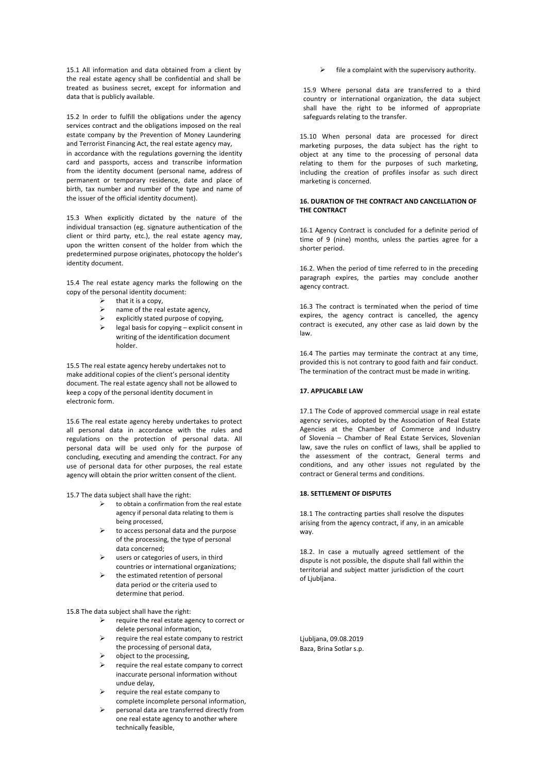15.1 All information and data obtained from a client by the real estate agency shall be confidential and shall be treated as business secret, except for information and data that is publicly available.

15.2 In order to fulfill the obligations under the agency services contract and the obligations imposed on the real estate company by the Prevention of Money Laundering and Terrorist Financing Act, the real estate agency may, in accordance with the regulations governing the identity card and passports, access and transcribe information from the identity document (personal name, address of permanent or temporary residence, date and place of birth, tax number and number of the type and name of the issuer of the official identity document).

15.3 When explicitly dictated by the nature of the individual transaction (eg. signature authentication of the client or third party, etc.), the real estate agency may, upon the written consent of the holder from which the predetermined purpose originates, photocopy the holder's identity document.

15.4 The real estate agency marks the following on the copy of the personal identity document:

- $\geq$  that it is a copy,<br> $\geq$  name of the rea
- name of the real estate agency.
- $\triangleright$  explicitly stated purpose of copying,
- $\triangleright$  legal basis for copying explicit consent in writing of the identification document holder.

15.5 The real estate agency hereby undertakes not to make additional copies of the client's personal identity document. The real estate agency shall not be allowed to keep a copy of the personal identity document in electronic form.

15.6 The real estate agency hereby undertakes to protect all personal data in accordance with the rules and regulations on the protection of personal data. All personal data will be used only for the purpose of concluding, executing and amending the contract. For any use of personal data for other purposes, the real estate agency will obtain the prior written consent of the client.

15.7 The data subject shall have the right:

- to obtain a confirmation from the real estate agency if personal data relating to them is being processed.
- to access personal data and the purpose of the processing, the type of personal data concerned;
- $\triangleright$  users or categories of users, in third countries or international organizations;
- the estimated retention of personal data period or the criteria used to determine that period.

15.8 The data subject shall have the right:

- $\triangleright$  require the real estate agency to correct or delete personal information,
- $\triangleright$  require the real estate company to restrict the processing of personal data,
- object to the processing,
- require the real estate company to correct inaccurate personal information without undue delay,
- $\triangleright$  require the real estate company to complete incomplete personal information,
- personal data are transferred directly from one real estate agency to another where technically feasible,

file a complaint with the supervisory authority.

15.9 Where personal data are transferred to a third country or international organization, the data subject shall have the right to be informed of appropriate safeguards relating to the transfer.

15.10 When personal data are processed for direct marketing purposes, the data subject has the right to object at any time to the processing of personal data relating to them for the purposes of such marketing, including the creation of profiles insofar as such direct marketing is concerned.

### **16. DURATION OF THE CONTRACT AND CANCELLATION OF THE CONTRACT**

16.1 Agency Contract is concluded for a definite period of time of 9 (nine) months, unless the parties agree for a shorter period.

16.2. When the period of time referred to in the preceding paragraph expires, the parties may conclude another agency contract.

16.3 The contract is terminated when the period of time expires, the agency contract is cancelled, the agency contract is executed, any other case as laid down by the law.

16.4 The parties may terminate the contract at any time, provided this is not contrary to good faith and fair conduct. The termination of the contract must be made in writing.

### **17. APPLICABLE LAW**

17.1 The Code of approved commercial usage in real estate agency services, adopted by the Association of Real Estate Agencies at the Chamber of Commerce and Industry of Slovenia – Chamber of Real Estate Services, Slovenian law, save the rules on conflict of laws, shall be applied to the assessment of the contract, General terms and conditions, and any other issues not regulated by the contract or General terms and conditions.

#### **18. SETTLEMENT OF DISPUTES**

18.1 The contracting parties shall resolve the disputes arising from the agency contract, if any, in an amicable way.

18.2. In case a mutually agreed settlement of the dispute is not possible, the dispute shall fall within the territorial and subiect matter iurisdiction of the court of Liubliana.

Ljubljana, 09.08.2019 Baza, Brina Sotlar s.p.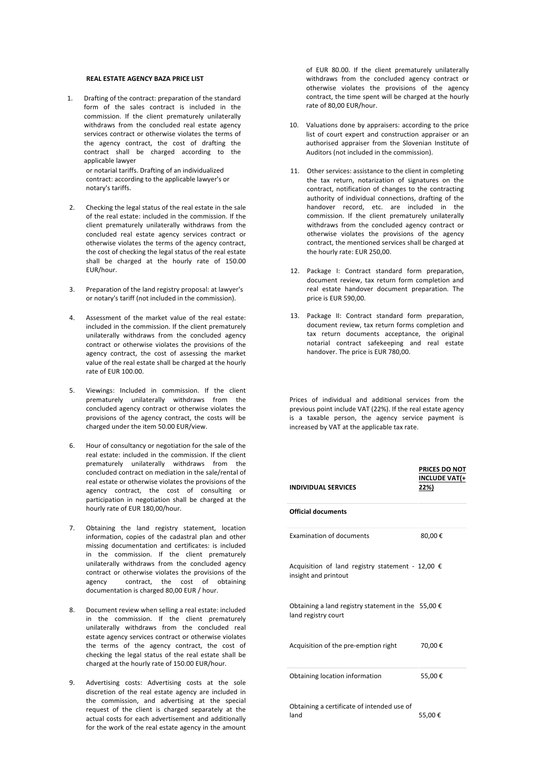## **REAL ESTATE AGENCY BAZA PRICE LIST**

1. Drafting of the contract: preparation of the standard form of the sales contract is included in the commission. If the client prematurely unilaterally withdraws from the concluded real estate agency services contract or otherwise violates the terms of the agency contract, the cost of drafting the contract shall be charged according to the applicable lawyer or notarial tariffs. Drafting of an individualized

contract: according to the applicable lawyer's or notary's tariffs.

- 2. Checking the legal status of the real estate in the sale of the real estate: included in the commission. If the client prematurely unilaterally withdraws from the concluded real estate agency services contract or otherwise violates the terms of the agency contract, the cost of checking the legal status of the real estate shall be charged at the hourly rate of 150.00 EUR/hour.
- 3. Preparation of the land registry proposal: at lawyer's or notary's tariff (not included in the commission).
- 4. Assessment of the market value of the real estate: included in the commission. If the client prematurely unilaterally withdraws from the concluded agency contract or otherwise violates the provisions of the agency contract, the cost of assessing the market value of the real estate shall be charged at the hourly rate of EUR 100.00
- 5. Viewings: Included in commission. If the client prematurely unilaterally withdraws from the concluded agency contract or otherwise violates the provisions of the agency contract, the costs will be charged under the item 50.00 EUR/view.
- 6. Hour of consultancy or negotiation for the sale of the real estate: included in the commission. If the client prematurely unilaterally withdraws from the concluded contract on mediation in the sale/rental of real estate or otherwise violates the provisions of the agency contract, the cost of consulting or participation in negotiation shall be charged at the hourly rate of EUR 180,00/hour.
- 7. Obtaining the land registry statement, location information, copies of the cadastral plan and other missing documentation and certificates: is included in the commission. If the client prematurely unilaterally withdraws from the concluded agency contract or otherwise violates the provisions of the agency contract, the cost of obtaining documentation is charged 80,00 EUR / hour.
- 8. Document review when selling a real estate: included in the commission. If the client prematurely unilaterally withdraws from the concluded real estate agency services contract or otherwise violates the terms of the agency contract, the cost of checking the legal status of the real estate shall be charged at the hourly rate of 150.00 EUR/hour.
- 9. Advertising costs: Advertising costs at the sole discretion of the real estate agency are included in the commission, and advertising at the special request of the client is charged separately at the actual costs for each advertisement and additionally for the work of the real estate agency in the amount

of EUR 80.00. If the client prematurely unilaterally withdraws from the concluded agency contract or otherwise violates the provisions of the agency contract, the time spent will be charged at the hourly rate of 80,00 EUR/hour.

- 10. Valuations done by appraisers: according to the price list of court expert and construction appraiser or an authorised appraiser from the Slovenian Institute of Auditors (not included in the commission).
- 11. Other services: assistance to the client in completing the tax return, notarization of signatures on the contract, notification of changes to the contracting authority of individual connections, drafting of the handover record, etc. are included in the commission. If the client prematurely unilaterally withdraws from the concluded agency contract or otherwise violates the provisions of the agency contract, the mentioned services shall be charged at the hourly rate: EUR 250,00.
- 12. Package I: Contract standard form preparation. document review, tax return form completion and real estate handover document preparation. The price is EUR 590,00.
- 13. Package II: Contract standard form preparation, document review, tax return forms completion and tax return documents acceptance, the original notarial contract safekeeping and real estate handover. The price is EUR 780,00.

Prices of individual and additional services from the previous point include VAT (22%). If the real estate agency is a taxable person, the agency service payment is increased by VAT at the applicable tax rate.

| <b>INDIVIDUAL SERVICES</b>                                                         | PRICES DO NOT<br>INCLUDE VAT(+<br>22%) |
|------------------------------------------------------------------------------------|----------------------------------------|
| <b>Official documents</b>                                                          |                                        |
| <b>Examination of documents</b>                                                    | 80,00€                                 |
| Acquisition of land registry statement - 12,00 $\epsilon$<br>insight and printout  |                                        |
| Obtaining a land registry statement in the 55,00 $\epsilon$<br>land registry court |                                        |
| Acquisition of the pre-emption right                                               | 70,00€                                 |
| Obtaining location information                                                     | 55,00€                                 |
| Obtaining a certificate of intended use of<br>land                                 | 55,00€                                 |